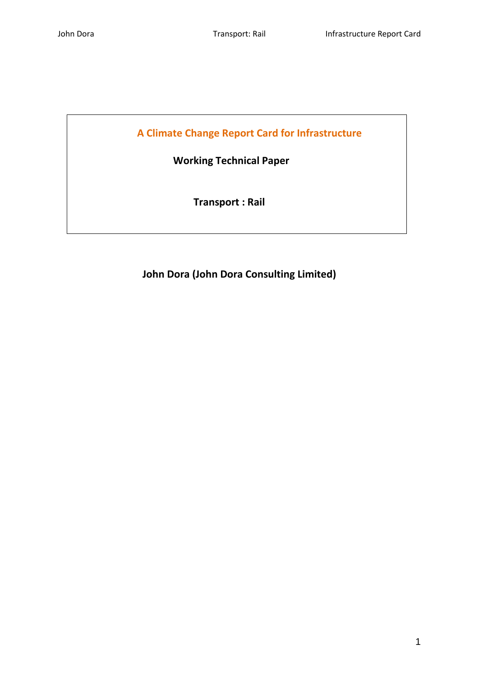**A Climate Change Report Card for Infrastructure**

 **Working Technical Paper**

 **Transport : Rail**

**John Dora (John Dora Consulting Limited)**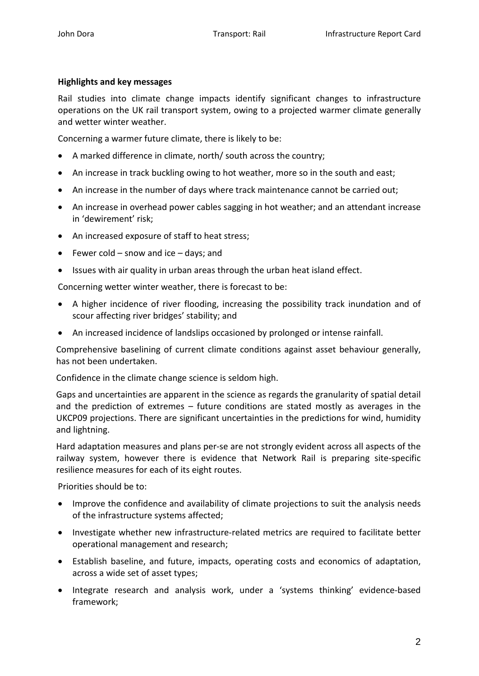### **Highlights and key messages**

Rail studies into climate change impacts identify significant changes to infrastructure operations on the UK rail transport system, owing to a projected warmer climate generally and wetter winter weather.

Concerning a warmer future climate, there is likely to be:

- A marked difference in climate, north/ south across the country;
- An increase in track buckling owing to hot weather, more so in the south and east;
- An increase in the number of days where track maintenance cannot be carried out;
- An increase in overhead power cables sagging in hot weather; and an attendant increase in 'dewirement' risk;
- An increased exposure of staff to heat stress;
- Fewer cold snow and ice days; and
- Issues with air quality in urban areas through the urban heat island effect.

Concerning wetter winter weather, there is forecast to be:

- A higher incidence of river flooding, increasing the possibility track inundation and of scour affecting river bridges' stability; and
- An increased incidence of landslips occasioned by prolonged or intense rainfall.

Comprehensive baselining of current climate conditions against asset behaviour generally, has not been undertaken.

Confidence in the climate change science is seldom high.

Gaps and uncertainties are apparent in the science as regards the granularity of spatial detail and the prediction of extremes – future conditions are stated mostly as averages in the UKCP09 projections. There are significant uncertainties in the predictions for wind, humidity and lightning.

Hard adaptation measures and plans per-se are not strongly evident across all aspects of the railway system, however there is evidence that Network Rail is preparing site-specific resilience measures for each of its eight routes.

Priorities should be to:

- Improve the confidence and availability of climate projections to suit the analysis needs of the infrastructure systems affected;
- Investigate whether new infrastructure-related metrics are required to facilitate better operational management and research;
- Establish baseline, and future, impacts, operating costs and economics of adaptation, across a wide set of asset types;
- Integrate research and analysis work, under a 'systems thinking' evidence-based framework;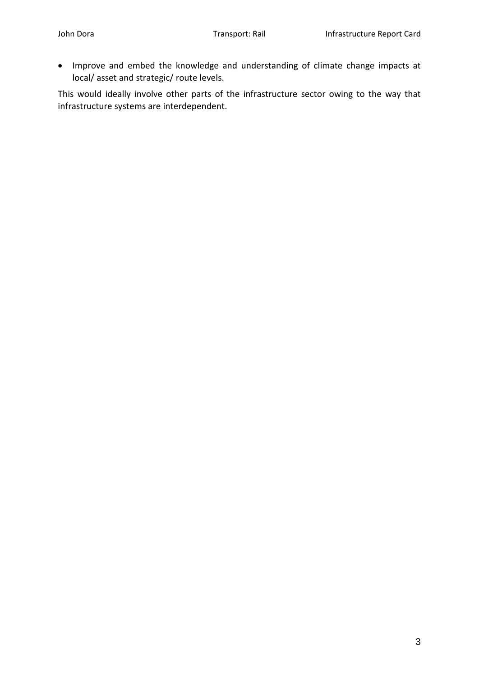• Improve and embed the knowledge and understanding of climate change impacts at local/ asset and strategic/ route levels.

This would ideally involve other parts of the infrastructure sector owing to the way that infrastructure systems are interdependent.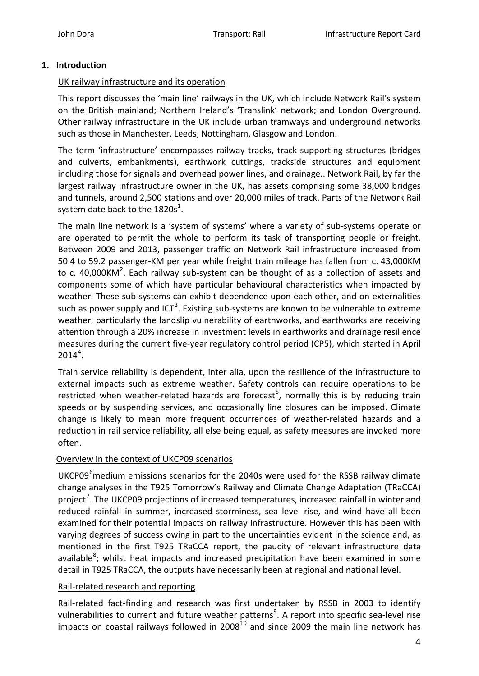### **1. Introduction**

### UK railway infrastructure and its operation

This report discusses the 'main line' railways in the UK, which include Network Rail's system on the British mainland; Northern Ireland's 'Translink' network; and London Overground. Other railway infrastructure in the UK include urban tramways and underground networks such as those in Manchester, Leeds, Nottingham, Glasgow and London.

The term 'infrastructure' encompasses railway tracks, track supporting structures (bridges and culverts, embankments), earthwork cuttings, trackside structures and equipment including those for signals and overhead power lines, and drainage.. Network Rail, by far the largest railway infrastructure owner in the UK, has assets comprising some 38,000 bridges and tunnels, around 2,500 stations and over 20,000 miles of track. Parts of the Network Rail system date back to the [1](#page-18-0)820s<sup>1</sup>.

The main line network is a 'system of systems' where a variety of sub-systems operate or are operated to permit the whole to perform its task of transporting people or freight. Between 2009 and 2013, passenger traffic on Network Rail infrastructure increased from 50.4 to 59.2 passenger-KM per year while freight train mileage has fallen from c. 43,000KM to c. 40,000KM<sup>[2](#page-18-1)</sup>. Each railway sub-system can be thought of as a collection of assets and components some of which have particular behavioural characteristics when impacted by weather. These sub-systems can exhibit dependence upon each other, and on externalities such as power supply and ICT<sup>[3](#page-18-2)</sup>. Existing sub-systems are known to be vulnerable to extreme weather, particularly the landslip vulnerability of earthworks, and earthworks are receiving attention through a 20% increase in investment levels in earthworks and drainage resilience measures during the current five-year regulatory control period (CP5), which started in April  $2014^4$  $2014^4$  $2014^4$ .

Train service reliability is dependent, inter alia, upon the resilience of the infrastructure to external impacts such as extreme weather. Safety controls can require operations to be restricted when weather-related hazards are forecast<sup>[5](#page-18-4)</sup>, normally this is by reducing train speeds or by suspending services, and occasionally line closures can be imposed. Climate change is likely to mean more frequent occurrences of weather-related hazards and a reduction in rail service reliability, all else being equal, as safety measures are invoked more often.

#### Overview in the context of UKCP09 scenarios

UKCP09<sup>[6](#page-18-5)</sup>medium emissions scenarios for the 2040s were used for the RSSB railway climate change analyses in the T925 Tomorrow's Railway and Climate Change Adaptation (TRaCCA) project<sup>[7](#page-18-6)</sup>. The UKCP09 projections of increased temperatures, increased rainfall in winter and reduced rainfall in summer, increased storminess, sea level rise, and wind have all been examined for their potential impacts on railway infrastructure. However this has been with varying degrees of success owing in part to the uncertainties evident in the science and, as mentioned in the first T925 TRaCCA report, the paucity of relevant infrastructure data available<sup>[8](#page-18-7)</sup>; whilst heat impacts and increased precipitation have been examined in some detail in T925 TRaCCA, the outputs have necessarily been at regional and national level.

#### Rail-related research and reporting

Rail-related fact-finding and research was first undertaken by RSSB in 2003 to identify vulnerabilities to current and future weather patterns<sup>[9](#page-18-8)</sup>. A report into specific sea-level rise impacts on coastal railways followed in  $2008^{10}$  $2008^{10}$  $2008^{10}$  and since 2009 the main line network has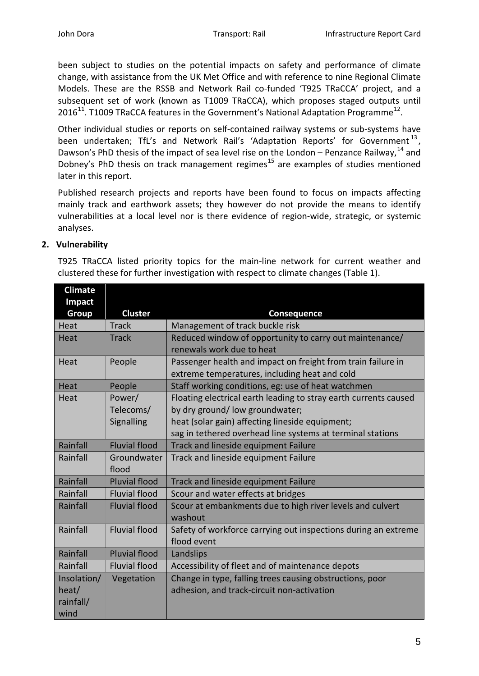been subject to studies on the potential impacts on safety and performance of climate change, with assistance from the UK Met Office and with reference to nine Regional Climate Models. These are the RSSB and Network Rail co-funded 'T925 TRaCCA' project, and a subsequent set of work (known as T1009 TRaCCA), which proposes staged outputs until 2016<sup>[11](#page-18-10)</sup>. T1009 TRaCCA features in the Government's National Adaptation Programme<sup>12</sup>.

Other individual studies or reports on self-contained railway systems or sub-systems have been undertaken; TfL's and Network Rail's 'Adaptation Reports' for Government<sup>[13](#page-18-12)</sup>, Dawson's PhD thesis of the impact of sea level rise on the London – Penzance Railway.<sup>[14](#page-18-13)</sup> and Dobney's PhD thesis on track management regimes<sup>[15](#page-18-14)</sup> are examples of studies mentioned later in this report.

Published research projects and reports have been found to focus on impacts affecting mainly track and earthwork assets; they however do not provide the means to identify vulnerabilities at a local level nor is there evidence of region-wide, strategic, or systemic analyses.

## **2. Vulnerability**

T925 TRaCCA listed priority topics for the main-line network for current weather and clustered these for further investigation with respect to climate changes (Table 1).

| <b>Climate</b> |                      |                                                                  |  |
|----------------|----------------------|------------------------------------------------------------------|--|
| Impact         |                      |                                                                  |  |
| <b>Group</b>   | <b>Cluster</b>       | Consequence                                                      |  |
| Heat           | <b>Track</b>         | Management of track buckle risk                                  |  |
| Heat           | <b>Track</b>         | Reduced window of opportunity to carry out maintenance/          |  |
|                |                      | renewals work due to heat                                        |  |
| Heat           | People               | Passenger health and impact on freight from train failure in     |  |
|                |                      | extreme temperatures, including heat and cold                    |  |
| Heat           | People               | Staff working conditions, eg: use of heat watchmen               |  |
| Heat           | Power/               | Floating electrical earth leading to stray earth currents caused |  |
|                | Telecoms/            | by dry ground/low groundwater;                                   |  |
|                | Signalling           | heat (solar gain) affecting lineside equipment;                  |  |
|                |                      | sag in tethered overhead line systems at terminal stations       |  |
| Rainfall       | <b>Fluvial flood</b> | Track and lineside equipment Failure                             |  |
| Rainfall       | Groundwater          | Track and lineside equipment Failure                             |  |
|                | flood                |                                                                  |  |
| Rainfall       | <b>Pluvial flood</b> | Track and lineside equipment Failure                             |  |
| Rainfall       | <b>Fluvial flood</b> | Scour and water effects at bridges                               |  |
| Rainfall       | <b>Fluvial flood</b> | Scour at embankments due to high river levels and culvert        |  |
|                |                      | washout                                                          |  |
| Rainfall       | <b>Fluvial flood</b> | Safety of workforce carrying out inspections during an extreme   |  |
|                |                      | flood event                                                      |  |
| Rainfall       | <b>Pluvial flood</b> | Landslips                                                        |  |
| Rainfall       | <b>Fluvial flood</b> | Accessibility of fleet and of maintenance depots                 |  |
| Insolation/    | Vegetation           | Change in type, falling trees causing obstructions, poor         |  |
| heat/          |                      | adhesion, and track-circuit non-activation                       |  |
| rainfall/      |                      |                                                                  |  |
| wind           |                      |                                                                  |  |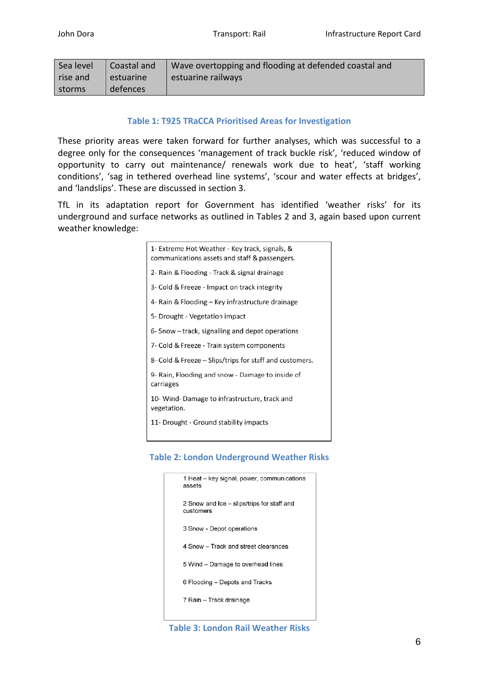| Sea level | Coastal and | Wave overtopping and flooding at defended coastal and |
|-----------|-------------|-------------------------------------------------------|
| rise and  | estuarine   | estuarine railways                                    |
| storms    | defences    |                                                       |

## **Table 1: T925 TRaCCA Prioritised Areas for Investigation**

These priority areas were taken forward for further analyses, which was successful to a degree only for the consequences 'management of track buckle risk', 'reduced window of opportunity to carry out maintenance/ renewals work due to heat', 'staff working conditions', 'sag in tethered overhead line systems', 'scour and water effects at bridges', and 'landslips'. These are discussed in section 3.

TfL in its adaptation report for Government has identified 'weather risks' for its underground and surface networks as outlined in Tables 2 and 3, again based upon current weather knowledge:

| 1- Extreme Hot Weather - Key track, signals, &<br>communications assets and staff & passengers. |
|-------------------------------------------------------------------------------------------------|
| 2- Rain & Flooding - Track & signal drainage                                                    |
| 3- Cold & Freeze - Impact on track integrity                                                    |
| 4- Rain & Flooding – Key infrastructure drainage                                                |
| 5- Drought - Vegetation impact                                                                  |
| 6- Snow - track, signalling and depot operations                                                |
| 7- Cold & Freeze - Train system components                                                      |
| 8- Cold & Freeze - Slips/trips for staff and customers.                                         |
| 9- Rain, Flooding and snow - Damage to inside of<br>carriages                                   |
| 10- Wind- Damage to infrastructure, track and<br>vegetation.                                    |
| 11- Drought - Ground stability impacts                                                          |

## **Table 2: London Underground Weather Risks**

| 1 Heat – key signal, power, communications<br>assets    |
|---------------------------------------------------------|
| 2 Snow and Ice – slips/trips for staff and<br>customers |
| 3 Snow - Depot operations                               |
| 4 Snow - Track and street clearances                    |
| 5 Wind - Damage to overhead lines                       |
| 6 Flooding – Depots and Tracks                          |
| 7 Rain – Track drainage                                 |
|                                                         |

**Table 3: London Rail Weather Risks**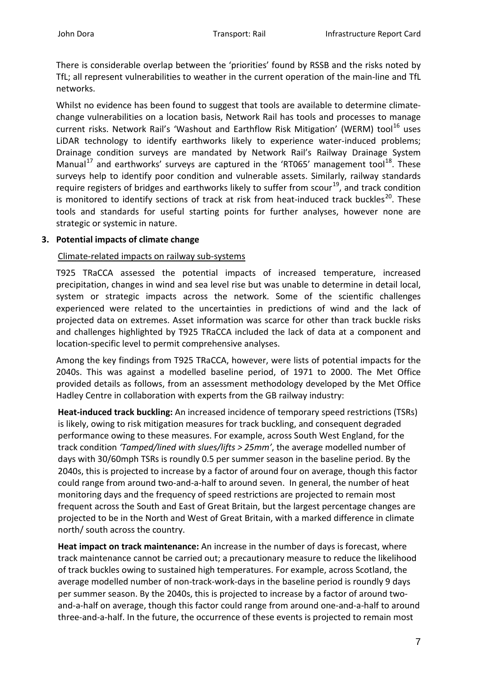There is considerable overlap between the 'priorities' found by RSSB and the risks noted by TfL; all represent vulnerabilities to weather in the current operation of the main-line and TfL networks.

Whilst no evidence has been found to suggest that tools are available to determine climatechange vulnerabilities on a location basis, Network Rail has tools and processes to manage current risks. Network Rail's 'Washout and Earthflow Risk Mitigation' (WERM) tool<sup>[16](#page-18-15)</sup> uses LiDAR technology to identify earthworks likely to experience water-induced problems; Drainage condition surveys are mandated by Network Rail's Railway Drainage System Manual<sup>[17](#page-18-16)</sup> and earthworks' surveys are captured in the 'RT065' management tool<sup>[18](#page-18-17)</sup>. These surveys help to identify poor condition and vulnerable assets. Similarly, railway standards require registers of bridges and earthworks likely to suffer from scour<sup>19</sup>, and track condition is monitored to identify sections of track at risk from heat-induced track buckles<sup>20</sup>. These tools and standards for useful starting points for further analyses, however none are strategic or systemic in nature.

### **3. Potential impacts of climate change**

### Climate-related impacts on railway sub-systems

T925 TRaCCA assessed the potential impacts of increased temperature, increased precipitation, changes in wind and sea level rise but was unable to determine in detail local, system or strategic impacts across the network. Some of the scientific challenges experienced were related to the uncertainties in predictions of wind and the lack of projected data on extremes. Asset information was scarce for other than track buckle risks and challenges highlighted by T925 TRaCCA included the lack of data at a component and location-specific level to permit comprehensive analyses.

Among the key findings from T925 TRaCCA, however, were lists of potential impacts for the 2040s. This was against a modelled baseline period, of 1971 to 2000. The Met Office provided details as follows, from an assessment methodology developed by the Met Office Hadley Centre in collaboration with experts from the GB railway industry:

**Heat-induced track buckling:** An increased incidence of temporary speed restrictions (TSRs) is likely, owing to risk mitigation measures for track buckling, and consequent degraded performance owing to these measures. For example, across South West England, for the track condition *'Tamped/lined with slues/lifts > 25mm'*, the average modelled number of days with 30/60mph TSRs is roundly 0.5 per summer season in the baseline period. By the 2040s, this is projected to increase by a factor of around four on average, though this factor could range from around two-and-a-half to around seven. In general, the number of heat monitoring days and the frequency of speed restrictions are projected to remain most frequent across the South and East of Great Britain, but the largest percentage changes are projected to be in the North and West of Great Britain, with a marked difference in climate north/ south across the country.

**Heat impact on track maintenance:** An increase in the number of days is forecast, where track maintenance cannot be carried out; a precautionary measure to reduce the likelihood of track buckles owing to sustained high temperatures. For example, across Scotland, the average modelled number of non-track-work-days in the baseline period is roundly 9 days per summer season. By the 2040s, this is projected to increase by a factor of around twoand-a-half on average, though this factor could range from around one-and-a-half to around three-and-a-half. In the future, the occurrence of these events is projected to remain most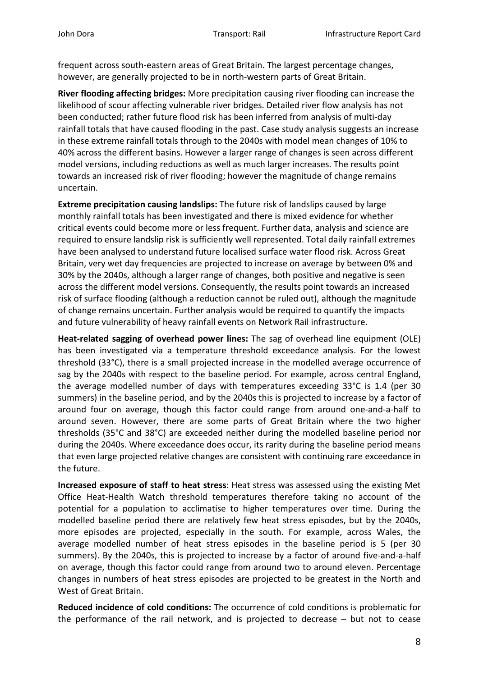frequent across south-eastern areas of Great Britain. The largest percentage changes, however, are generally projected to be in north-western parts of Great Britain.

**River flooding affecting bridges:** More precipitation causing river flooding can increase the likelihood of scour affecting vulnerable river bridges. Detailed river flow analysis has not been conducted; rather future flood risk has been inferred from analysis of multi-day rainfall totals that have caused flooding in the past. Case study analysis suggests an increase in these extreme rainfall totals through to the 2040s with model mean changes of 10% to 40% across the different basins. However a larger range of changes is seen across different model versions, including reductions as well as much larger increases. The results point towards an increased risk of river flooding; however the magnitude of change remains uncertain.

**Extreme precipitation causing landslips:** The future risk of landslips caused by large monthly rainfall totals has been investigated and there is mixed evidence for whether critical events could become more or less frequent. Further data, analysis and science are required to ensure landslip risk is sufficiently well represented. Total daily rainfall extremes have been analysed to understand future localised surface water flood risk. Across Great Britain, very wet day frequencies are projected to increase on average by between 0% and 30% by the 2040s, although a larger range of changes, both positive and negative is seen across the different model versions. Consequently, the results point towards an increased risk of surface flooding (although a reduction cannot be ruled out), although the magnitude of change remains uncertain. Further analysis would be required to quantify the impacts and future vulnerability of heavy rainfall events on Network Rail infrastructure.

**Heat-related sagging of overhead power lines:** The sag of overhead line equipment (OLE) has been investigated via a temperature threshold exceedance analysis. For the lowest threshold (33°C), there is a small projected increase in the modelled average occurrence of sag by the 2040s with respect to the baseline period. For example, across central England, the average modelled number of days with temperatures exceeding 33°C is 1.4 (per 30 summers) in the baseline period, and by the 2040s this is projected to increase by a factor of around four on average, though this factor could range from around one-and-a-half to around seven. However, there are some parts of Great Britain where the two higher thresholds (35°C and 38°C) are exceeded neither during the modelled baseline period nor during the 2040s. Where exceedance does occur, its rarity during the baseline period means that even large projected relative changes are consistent with continuing rare exceedance in the future.

**Increased exposure of staff to heat stress**: Heat stress was assessed using the existing Met Office Heat-Health Watch threshold temperatures therefore taking no account of the potential for a population to acclimatise to higher temperatures over time. During the modelled baseline period there are relatively few heat stress episodes, but by the 2040s, more episodes are projected, especially in the south. For example, across Wales, the average modelled number of heat stress episodes in the baseline period is 5 (per 30 summers). By the 2040s, this is projected to increase by a factor of around five-and-a-half on average, though this factor could range from around two to around eleven. Percentage changes in numbers of heat stress episodes are projected to be greatest in the North and West of Great Britain.

**Reduced incidence of cold conditions:** The occurrence of cold conditions is problematic for the performance of the rail network, and is projected to decrease – but not to cease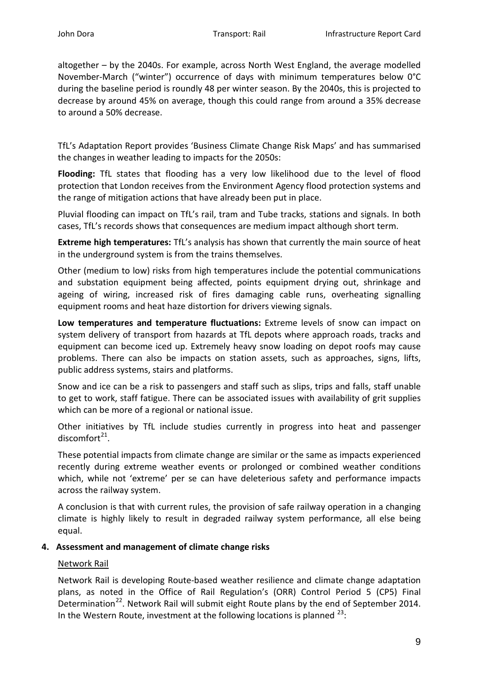altogether – by the 2040s. For example, across North West England, the average modelled November-March ("winter") occurrence of days with minimum temperatures below 0°C during the baseline period is roundly 48 per winter season. By the 2040s, this is projected to decrease by around 45% on average, though this could range from around a 35% decrease to around a 50% decrease.

TfL's Adaptation Report provides 'Business Climate Change Risk Maps' and has summarised the changes in weather leading to impacts for the 2050s:

**Flooding:** TfL states that flooding has a very low likelihood due to the level of flood protection that London receives from the Environment Agency flood protection systems and the range of mitigation actions that have already been put in place.

Pluvial flooding can impact on TfL's rail, tram and Tube tracks, stations and signals. In both cases, TfL's records shows that consequences are medium impact although short term.

**Extreme high temperatures:** TfL's analysis has shown that currently the main source of heat in the underground system is from the trains themselves.

Other (medium to low) risks from high temperatures include the potential communications and substation equipment being affected, points equipment drying out, shrinkage and ageing of wiring, increased risk of fires damaging cable runs, overheating signalling equipment rooms and heat haze distortion for drivers viewing signals.

**Low temperatures and temperature fluctuations:** Extreme levels of snow can impact on system delivery of transport from hazards at TfL depots where approach roads, tracks and equipment can become iced up. Extremely heavy snow loading on depot roofs may cause problems. There can also be impacts on station assets, such as approaches, signs, lifts, public address systems, stairs and platforms.

Snow and ice can be a risk to passengers and staff such as slips, trips and falls, staff unable to get to work, staff fatigue. There can be associated issues with availability of grit supplies which can be more of a regional or national issue.

Other initiatives by TfL include studies currently in progress into heat and passenger discomfort $^{21}$ .

These potential impacts from climate change are similar or the same as impacts experienced recently during extreme weather events or prolonged or combined weather conditions which, while not 'extreme' per se can have deleterious safety and performance impacts across the railway system.

A conclusion is that with current rules, the provision of safe railway operation in a changing climate is highly likely to result in degraded railway system performance, all else being equal.

# **4. Assessment and management of climate change risks**

# Network Rail

Network Rail is developing Route-based weather resilience and climate change adaptation plans, as noted in the Office of Rail Regulation's (ORR) Control Period 5 (CP5) Final Determination<sup>[22](#page-18-21)</sup>. Network Rail will submit eight Route plans by the end of September 2014. In the Western Route, investment at the following locations is planned  $^{23}$  $^{23}$  $^{23}$ :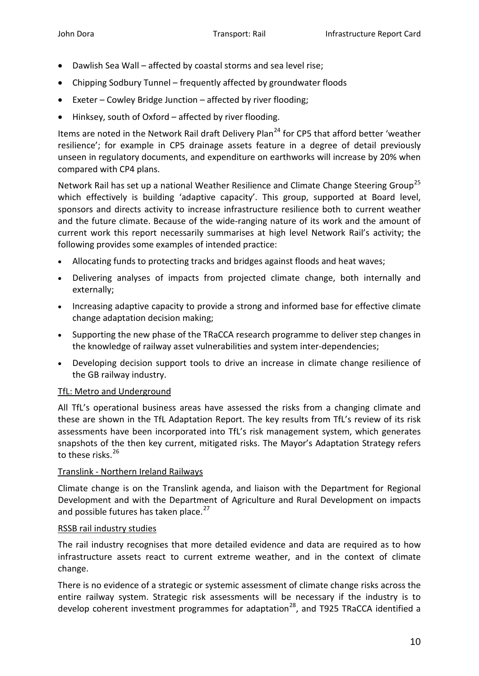- Dawlish Sea Wall affected by coastal storms and sea level rise;
- Chipping Sodbury Tunnel frequently affected by groundwater floods
- Exeter Cowley Bridge Junction affected by river flooding;
- Hinksey, south of Oxford affected by river flooding.

Items are noted in the Network Rail draft Delivery Plan<sup>[24](#page-18-23)</sup> for CP5 that afford better 'weather resilience'; for example in CP5 drainage assets feature in a degree of detail previously unseen in regulatory documents, and expenditure on earthworks will increase by 20% when compared with CP4 plans.

Network Rail has set up a national Weather Resilience and Climate Change Steering Group<sup>[25](#page-18-24)</sup> which effectively is building 'adaptive capacity'. This group, supported at Board level, sponsors and directs activity to increase infrastructure resilience both to current weather and the future climate. Because of the wide-ranging nature of its work and the amount of current work this report necessarily summarises at high level Network Rail's activity; the following provides some examples of intended practice:

- Allocating funds to protecting tracks and bridges against floods and heat waves;
- Delivering analyses of impacts from projected climate change, both internally and externally;
- Increasing adaptive capacity to provide a strong and informed base for effective climate change adaptation decision making;
- Supporting the new phase of the TRaCCA research programme to deliver step changes in the knowledge of railway asset vulnerabilities and system inter-dependencies;
- Developing decision support tools to drive an increase in climate change resilience of the GB railway industry.

#### TfL: Metro and Underground

All TfL's operational business areas have assessed the risks from a changing climate and these are shown in the TfL Adaptation Report. The key results from TfL's review of its risk assessments have been incorporated into TfL's risk management system, which generates snapshots of the then key current, mitigated risks. The Mayor's Adaptation Strategy refers to these risks.<sup>[26](#page-18-25)</sup>

#### Translink - Northern Ireland Railways

Climate change is on the Translink agenda, and liaison with the Department for Regional Development and with the Department of Agriculture and Rural Development on impacts and possible futures has taken place.<sup>[27](#page-18-26)</sup>

#### RSSB rail industry studies

The rail industry recognises that more detailed evidence and data are required as to how infrastructure assets react to current extreme weather, and in the context of climate change.

There is no evidence of a strategic or systemic assessment of climate change risks across the entire railway system. Strategic risk assessments will be necessary if the industry is to develop coherent investment programmes for adaptation<sup>28</sup>, and T925 TRaCCA identified a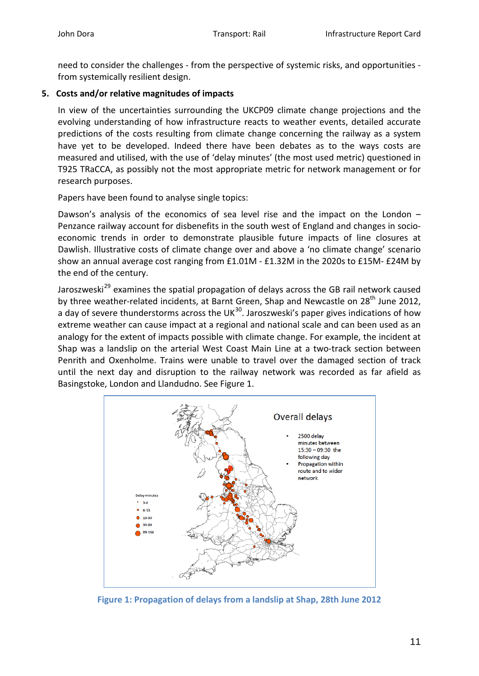need to consider the challenges - from the perspective of systemic risks, and opportunities from systemically resilient design.

## **5. Costs and/or relative magnitudes of impacts**

In view of the uncertainties surrounding the UKCP09 climate change projections and the evolving understanding of how infrastructure reacts to weather events, detailed accurate predictions of the costs resulting from climate change concerning the railway as a system have yet to be developed. Indeed there have been debates as to the ways costs are measured and utilised, with the use of 'delay minutes' (the most used metric) questioned in T925 TRaCCA, as possibly not the most appropriate metric for network management or for research purposes.

Papers have been found to analyse single topics:

Dawson's analysis of the economics of sea level rise and the impact on the London – Penzance railway account for disbenefits in the south west of England and changes in socioeconomic trends in order to demonstrate plausible future impacts of line closures at Dawlish. Illustrative costs of climate change over and above a 'no climate change' scenario show an annual average cost ranging from £1.01M - £1.32M in the 2020s to £15M- £24M by the end of the century.

Jaroszweski<sup>[29](#page-18-28)</sup> examines the spatial propagation of delays across the GB rail network caused by three weather-related incidents, at Barnt Green, Shap and Newcastle on  $28<sup>th</sup>$  June 2012, a day of severe thunderstorms across the UK $^{30}$ . Jaroszweski's paper gives indications of how extreme weather can cause impact at a regional and national scale and can been used as an analogy for the extent of impacts possible with climate change. For example, the incident at Shap was a landslip on the arterial West Coast Main Line at a two-track section between Penrith and Oxenholme. Trains were unable to travel over the damaged section of track until the next day and disruption to the railway network was recorded as far afield as Basingstoke, London and Llandudno. See Figure 1.



**Figure 1: Propagation of delays from a landslip at Shap, 28th June 2012**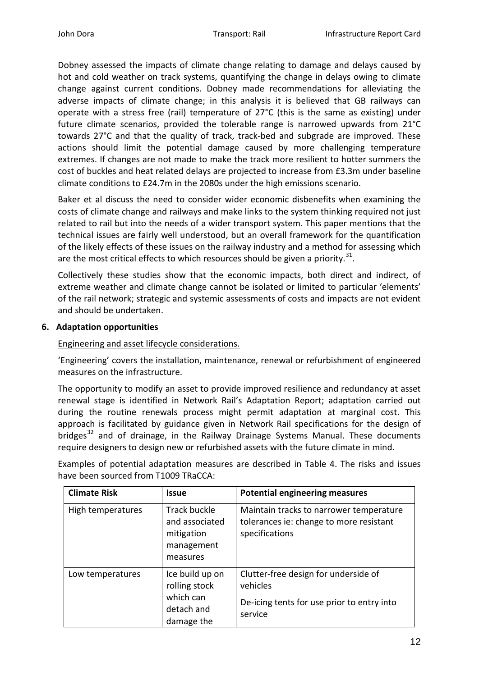Dobney assessed the impacts of climate change relating to damage and delays caused by hot and cold weather on track systems, quantifying the change in delays owing to climate change against current conditions. Dobney made recommendations for alleviating the adverse impacts of climate change; in this analysis it is believed that GB railways can operate with a stress free (rail) temperature of 27°C (this is the same as existing) under future climate scenarios, provided the tolerable range is narrowed upwards from 21°C towards 27°C and that the quality of track, track-bed and subgrade are improved. These actions should limit the potential damage caused by more challenging temperature extremes. If changes are not made to make the track more resilient to hotter summers the cost of buckles and heat related delays are projected to increase from £3.3m under baseline climate conditions to £24.7m in the 2080s under the high emissions scenario.

Baker et al discuss the need to consider wider economic disbenefits when examining the costs of climate change and railways and make links to the system thinking required not just related to rail but into the needs of a wider transport system. This paper mentions that the technical issues are fairly well understood, but an overall framework for the quantification of the likely effects of these issues on the railway industry and a method for assessing which are the most critical effects to which resources should be given a priority.<sup>[31](#page-18-30)</sup>.

Collectively these studies show that the economic impacts, both direct and indirect, of extreme weather and climate change cannot be isolated or limited to particular 'elements' of the rail network; strategic and systemic assessments of costs and impacts are not evident and should be undertaken.

## **6. Adaptation opportunities**

#### Engineering and asset lifecycle considerations.

'Engineering' covers the installation, maintenance, renewal or refurbishment of engineered measures on the infrastructure.

The opportunity to modify an asset to provide improved resilience and redundancy at asset renewal stage is identified in Network Rail's Adaptation Report; adaptation carried out during the routine renewals process might permit adaptation at marginal cost. This approach is facilitated by guidance given in Network Rail specifications for the design of bridges $^{32}$  $^{32}$  $^{32}$  and of drainage, in the Railway Drainage Systems Manual. These documents require designers to design new or refurbished assets with the future climate in mind.

Examples of potential adaptation measures are described in Table 4. The risks and issues have been sourced from T1009 TRaCCA:

| <b>Climate Risk</b> | <b>Issue</b>                                                                  | <b>Potential engineering measures</b>                                                                     |
|---------------------|-------------------------------------------------------------------------------|-----------------------------------------------------------------------------------------------------------|
| High temperatures   | <b>Track buckle</b><br>and associated<br>mitigation<br>management<br>measures | Maintain tracks to narrower temperature<br>tolerances ie: change to more resistant<br>specifications      |
| Low temperatures    | Ice build up on<br>rolling stock<br>which can<br>detach and<br>damage the     | Clutter-free design for underside of<br>vehicles<br>De-icing tents for use prior to entry into<br>service |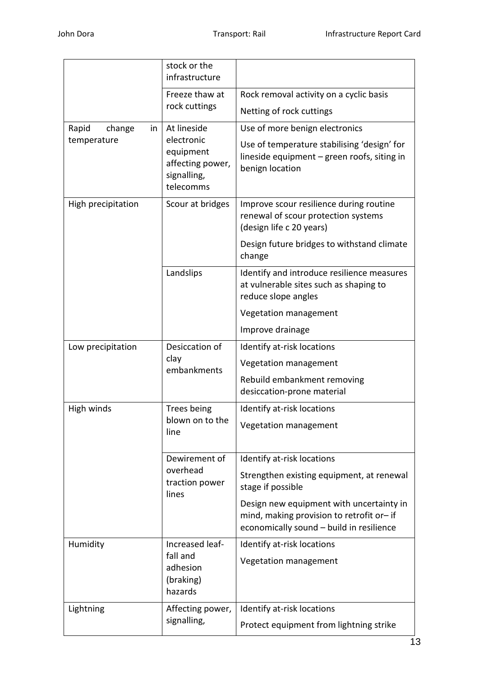|                         | stock or the<br>infrastructure                                                         |                                                                                                                                  |  |
|-------------------------|----------------------------------------------------------------------------------------|----------------------------------------------------------------------------------------------------------------------------------|--|
|                         | Freeze thaw at<br>rock cuttings                                                        | Rock removal activity on a cyclic basis                                                                                          |  |
|                         |                                                                                        | Netting of rock cuttings                                                                                                         |  |
| Rapid<br>change<br>in I | At lineside<br>electronic<br>equipment<br>affecting power,<br>signalling,<br>telecomms | Use of more benign electronics                                                                                                   |  |
| temperature             |                                                                                        | Use of temperature stabilising 'design' for<br>lineside equipment - green roofs, siting in<br>benign location                    |  |
| High precipitation      | Scour at bridges                                                                       | Improve scour resilience during routine<br>renewal of scour protection systems<br>(design life c 20 years)                       |  |
|                         |                                                                                        | Design future bridges to withstand climate<br>change                                                                             |  |
|                         | Landslips                                                                              | Identify and introduce resilience measures<br>at vulnerable sites such as shaping to<br>reduce slope angles                      |  |
|                         |                                                                                        | Vegetation management                                                                                                            |  |
|                         |                                                                                        | Improve drainage                                                                                                                 |  |
| Low precipitation       | Desiccation of<br>clay<br>embankments                                                  | Identify at-risk locations                                                                                                       |  |
|                         |                                                                                        | Vegetation management                                                                                                            |  |
|                         |                                                                                        | Rebuild embankment removing<br>desiccation-prone material                                                                        |  |
| High winds              | Trees being                                                                            | Identify at-risk locations                                                                                                       |  |
|                         | blown on to the<br>line                                                                | Vegetation management                                                                                                            |  |
|                         | Dewirement of<br>overhead<br>traction power<br>lines                                   | Identify at-risk locations                                                                                                       |  |
|                         |                                                                                        | Strengthen existing equipment, at renewal<br>stage if possible                                                                   |  |
|                         |                                                                                        | Design new equipment with uncertainty in<br>mind, making provision to retrofit or-if<br>economically sound - build in resilience |  |
| Humidity                | Increased leaf-<br>fall and<br>adhesion<br>(braking)<br>hazards                        | Identify at-risk locations                                                                                                       |  |
|                         |                                                                                        | Vegetation management                                                                                                            |  |
| Lightning               | Affecting power,<br>signalling,                                                        | Identify at-risk locations                                                                                                       |  |
|                         |                                                                                        | Protect equipment from lightning strike                                                                                          |  |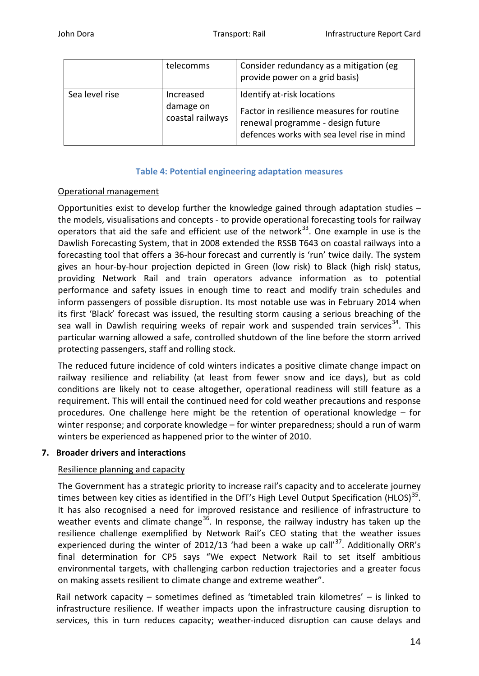|                | telecomms                                  | Consider redundancy as a mitigation (eg<br>provide power on a grid basis)                                                                                  |  |
|----------------|--------------------------------------------|------------------------------------------------------------------------------------------------------------------------------------------------------------|--|
| Sea level rise | Increased<br>damage on<br>coastal railways | Identify at-risk locations<br>Factor in resilience measures for routine<br>renewal programme - design future<br>defences works with sea level rise in mind |  |

## **Table 4: Potential engineering adaptation measures**

## Operational management

Opportunities exist to develop further the knowledge gained through adaptation studies – the models, visualisations and concepts - to provide operational forecasting tools for railway operators that aid the safe and efficient use of the network<sup>33</sup>. One example in use is the Dawlish Forecasting System, that in 2008 extended the RSSB T643 on coastal railways into a forecasting tool that offers a 36-hour forecast and currently is 'run' twice daily. The system gives an hour-by-hour projection depicted in Green (low risk) to Black (high risk) status, providing Network Rail and train operators advance information as to potential performance and safety issues in enough time to react and modify train schedules and inform passengers of possible disruption. Its most notable use was in February 2014 when its first 'Black' forecast was issued, the resulting storm causing a serious breaching of the sea wall in Dawlish requiring weeks of repair work and suspended train services<sup>[34](#page-18-33)</sup>. This particular warning allowed a safe, controlled shutdown of the line before the storm arrived protecting passengers, staff and rolling stock.

The reduced future incidence of cold winters indicates a positive climate change impact on railway resilience and reliability (at least from fewer snow and ice days), but as cold conditions are likely not to cease altogether, operational readiness will still feature as a requirement. This will entail the continued need for cold weather precautions and response procedures. One challenge here might be the retention of operational knowledge – for winter response; and corporate knowledge – for winter preparedness; should a run of warm winters be experienced as happened prior to the winter of 2010.

## **7. Broader drivers and interactions**

## Resilience planning and capacity

The Government has a strategic priority to increase rail's capacity and to accelerate journey times between key cities as identified in the DfT's High Level Output Specification (HLOS) $^{35}$  $^{35}$  $^{35}$ . It has also recognised a need for improved resistance and resilience of infrastructure to weather events and climate change<sup>[36](#page-18-35)</sup>. In response, the railway industry has taken up the resilience challenge exemplified by Network Rail's CEO stating that the weather issues experienced during the winter of 2012/13 'had been a wake up call' $^{37}$ . Additionally ORR's final determination for CP5 says "We expect Network Rail to set itself ambitious environmental targets, with challenging carbon reduction trajectories and a greater focus on making assets resilient to climate change and extreme weather".

Rail network capacity – sometimes defined as 'timetabled train kilometres' – is linked to infrastructure resilience. If weather impacts upon the infrastructure causing disruption to services, this in turn reduces capacity; weather-induced disruption can cause delays and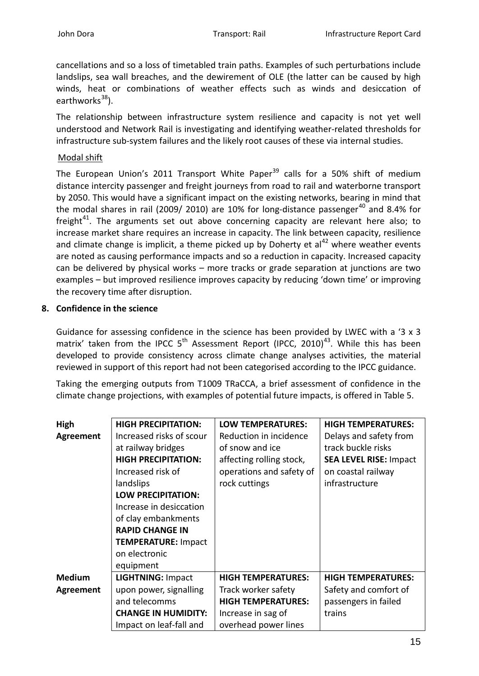cancellations and so a loss of timetabled train paths. Examples of such perturbations include landslips, sea wall breaches, and the dewirement of OLE (the latter can be caused by high winds, heat or combinations of weather effects such as winds and desiccation of earthworks $^{38}$  $^{38}$  $^{38}$ ).

The relationship between infrastructure system resilience and capacity is not yet well understood and Network Rail is investigating and identifying weather-related thresholds for infrastructure sub-system failures and the likely root causes of these via internal studies.

## Modal shift

The European Union's 2011 Transport White Paper<sup>[39](#page-18-38)</sup> calls for a 50% shift of medium distance intercity passenger and freight journeys from road to rail and waterborne transport by 2050. This would have a significant impact on the existing networks, bearing in mind that the modal shares in rail (2009/ 2010) are 10% for long-distance passenger<sup>[40](#page-18-39)</sup> and 8.4% for freight $41$ . The arguments set out above concerning capacity are relevant here also; to increase market share requires an increase in capacity. The link between capacity, resilience and climate change is implicit, a theme picked up by Doherty et  $al<sup>42</sup>$  $al<sup>42</sup>$  $al<sup>42</sup>$  where weather events are noted as causing performance impacts and so a reduction in capacity. Increased capacity can be delivered by physical works – more tracks or grade separation at junctions are two examples – but improved resilience improves capacity by reducing 'down time' or improving the recovery time after disruption.

## **8. Confidence in the science**

Guidance for assessing confidence in the science has been provided by LWEC with a '3 x 3 matrix' taken from the IPCC  $5<sup>th</sup>$  Assessment Report (IPCC, 2010)<sup>43</sup>. While this has been developed to provide consistency across climate change analyses activities, the material reviewed in support of this report had not been categorised according to the IPCC guidance.

Taking the emerging outputs from T1009 TRaCCA, a brief assessment of confidence in the climate change projections, with examples of potential future impacts, is offered in Table 5.

| High             | <b>HIGH PRECIPITATION:</b> | <b>LOW TEMPERATURES:</b>  | <b>HIGH TEMPERATURES:</b>     |
|------------------|----------------------------|---------------------------|-------------------------------|
| <b>Agreement</b> | Increased risks of scour   | Reduction in incidence    | Delays and safety from        |
|                  | at railway bridges         | of snow and ice           | track buckle risks            |
|                  | <b>HIGH PRECIPITATION:</b> | affecting rolling stock,  | <b>SEA LEVEL RISE: Impact</b> |
|                  | Increased risk of          | operations and safety of  | on coastal railway            |
|                  | landslips                  | rock cuttings             | infrastructure                |
|                  | <b>LOW PRECIPITATION:</b>  |                           |                               |
|                  | Increase in desiccation    |                           |                               |
|                  | of clay embankments        |                           |                               |
|                  | <b>RAPID CHANGE IN</b>     |                           |                               |
|                  | <b>TEMPERATURE: Impact</b> |                           |                               |
|                  | on electronic              |                           |                               |
|                  | equipment                  |                           |                               |
| <b>Medium</b>    | <b>LIGHTNING: Impact</b>   | <b>HIGH TEMPERATURES:</b> | <b>HIGH TEMPERATURES:</b>     |
| Agreement        | upon power, signalling     | Track worker safety       | Safety and comfort of         |
|                  | and telecomms              | <b>HIGH TEMPERATURES:</b> | passengers in failed          |
|                  | <b>CHANGE IN HUMIDITY:</b> | Increase in sag of        | trains                        |
|                  | Impact on leaf-fall and    | overhead power lines      |                               |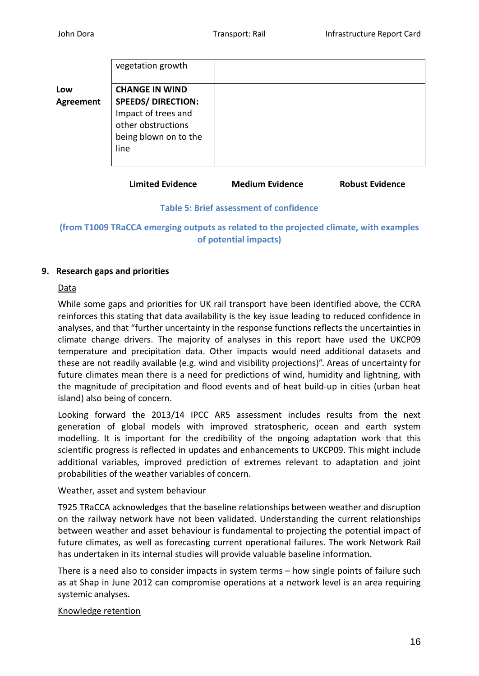|                  | vegetation growth                                                                                       |  |
|------------------|---------------------------------------------------------------------------------------------------------|--|
| Low              | <b>CHANGE IN WIND</b>                                                                                   |  |
| <b>Agreement</b> | <b>SPEEDS/ DIRECTION:</b><br>Impact of trees and<br>other obstructions<br>being blown on to the<br>line |  |

**Limited Evidence Medium Evidence Robust Evidence**

### **Table 5: Brief assessment of confidence**

**(from T1009 TRaCCA emerging outputs as related to the projected climate, with examples of potential impacts)**

## **9. Research gaps and priorities**

### Data

While some gaps and priorities for UK rail transport have been identified above, the CCRA reinforces this stating that data availability is the key issue leading to reduced confidence in analyses, and that "further uncertainty in the response functions reflects the uncertainties in climate change drivers. The majority of analyses in this report have used the UKCP09 temperature and precipitation data. Other impacts would need additional datasets and these are not readily available (e.g. wind and visibility projections)". Areas of uncertainty for future climates mean there is a need for predictions of wind, humidity and lightning, with the magnitude of precipitation and flood events and of heat build-up in cities (urban heat island) also being of concern.

Looking forward the 2013/14 IPCC AR5 assessment includes results from the next generation of global models with improved stratospheric, ocean and earth system modelling. It is important for the credibility of the ongoing adaptation work that this scientific progress is reflected in updates and enhancements to UKCP09. This might include additional variables, improved prediction of extremes relevant to adaptation and joint probabilities of the weather variables of concern.

## Weather, asset and system behaviour

T925 TRaCCA acknowledges that the baseline relationships between weather and disruption on the railway network have not been validated. Understanding the current relationships between weather and asset behaviour is fundamental to projecting the potential impact of future climates, as well as forecasting current operational failures. The work Network Rail has undertaken in its internal studies will provide valuable baseline information.

There is a need also to consider impacts in system terms – how single points of failure such as at Shap in June 2012 can compromise operations at a network level is an area requiring systemic analyses.

## Knowledge retention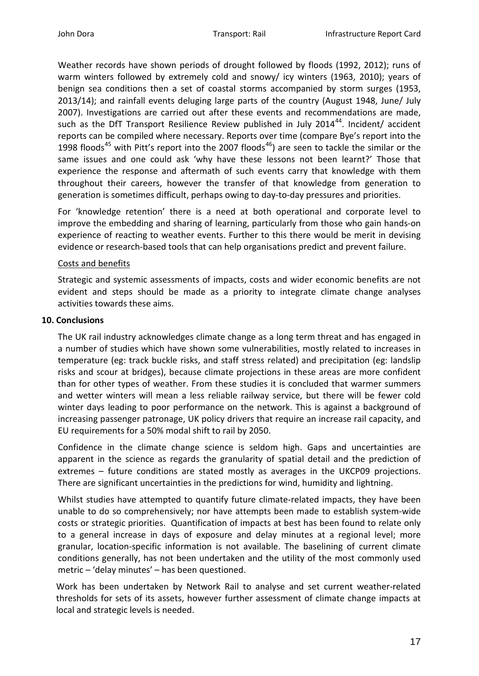Weather records have shown periods of drought followed by floods (1992, 2012); runs of warm winters followed by extremely cold and snowy/ icy winters (1963, 2010); years of benign sea conditions then a set of coastal storms accompanied by storm surges (1953, 2013/14); and rainfall events deluging large parts of the country (August 1948, June/ July 2007). Investigations are carried out after these events and recommendations are made, such as the DfT Transport Resilience Review published in July 2014<sup>44</sup>. Incident/ accident reports can be compiled where necessary. Reports over time (compare Bye's report into the 1998 floods<sup>[45](#page-18-44)</sup> with Pitt's report into the 2007 floods<sup>[46](#page-18-45)</sup>) are seen to tackle the similar or the same issues and one could ask 'why have these lessons not been learnt?' Those that experience the response and aftermath of such events carry that knowledge with them throughout their careers, however the transfer of that knowledge from generation to generation is sometimes difficult, perhaps owing to day-to-day pressures and priorities.

For 'knowledge retention' there is a need at both operational and corporate level to improve the embedding and sharing of learning, particularly from those who gain hands-on experience of reacting to weather events. Further to this there would be merit in devising evidence or research-based tools that can help organisations predict and prevent failure.

### Costs and benefits

Strategic and systemic assessments of impacts, costs and wider economic benefits are not evident and steps should be made as a priority to integrate climate change analyses activities towards these aims.

### **10. Conclusions**

The UK rail industry acknowledges climate change as a long term threat and has engaged in a number of studies which have shown some vulnerabilities, mostly related to increases in temperature (eg: track buckle risks, and staff stress related) and precipitation (eg: landslip risks and scour at bridges), because climate projections in these areas are more confident than for other types of weather. From these studies it is concluded that warmer summers and wetter winters will mean a less reliable railway service, but there will be fewer cold winter days leading to poor performance on the network. This is against a background of increasing passenger patronage, UK policy drivers that require an increase rail capacity, and EU requirements for a 50% modal shift to rail by 2050.

Confidence in the climate change science is seldom high. Gaps and uncertainties are apparent in the science as regards the granularity of spatial detail and the prediction of extremes – future conditions are stated mostly as averages in the UKCP09 projections. There are significant uncertainties in the predictions for wind, humidity and lightning.

Whilst studies have attempted to quantify future climate-related impacts, they have been unable to do so comprehensively; nor have attempts been made to establish system-wide costs or strategic priorities. Quantification of impacts at best has been found to relate only to a general increase in days of exposure and delay minutes at a regional level; more granular, location-specific information is not available. The baselining of current climate conditions generally, has not been undertaken and the utility of the most commonly used metric – 'delay minutes' – has been questioned.

Work has been undertaken by Network Rail to analyse and set current weather-related thresholds for sets of its assets, however further assessment of climate change impacts at local and strategic levels is needed.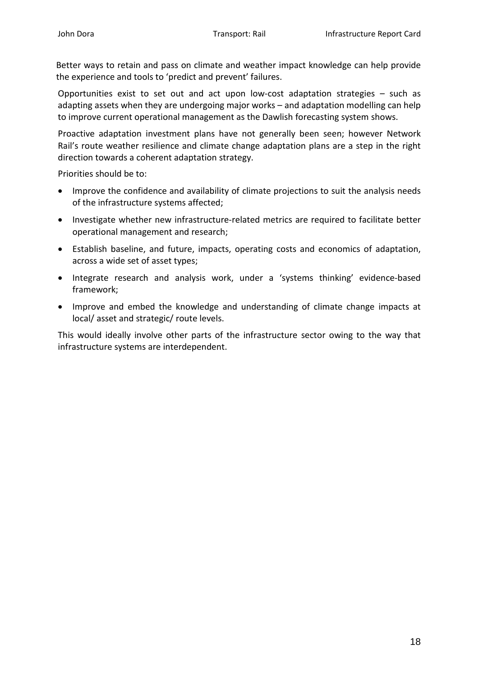Better ways to retain and pass on climate and weather impact knowledge can help provide the experience and tools to 'predict and prevent' failures.

Opportunities exist to set out and act upon low-cost adaptation strategies – such as adapting assets when they are undergoing major works – and adaptation modelling can help to improve current operational management as the Dawlish forecasting system shows.

Proactive adaptation investment plans have not generally been seen; however Network Rail's route weather resilience and climate change adaptation plans are a step in the right direction towards a coherent adaptation strategy.

Priorities should be to:

- Improve the confidence and availability of climate projections to suit the analysis needs of the infrastructure systems affected;
- Investigate whether new infrastructure-related metrics are required to facilitate better operational management and research;
- Establish baseline, and future, impacts, operating costs and economics of adaptation, across a wide set of asset types;
- Integrate research and analysis work, under a 'systems thinking' evidence-based framework;
- Improve and embed the knowledge and understanding of climate change impacts at local/ asset and strategic/ route levels.

This would ideally involve other parts of the infrastructure sector owing to the way that infrastructure systems are interdependent.